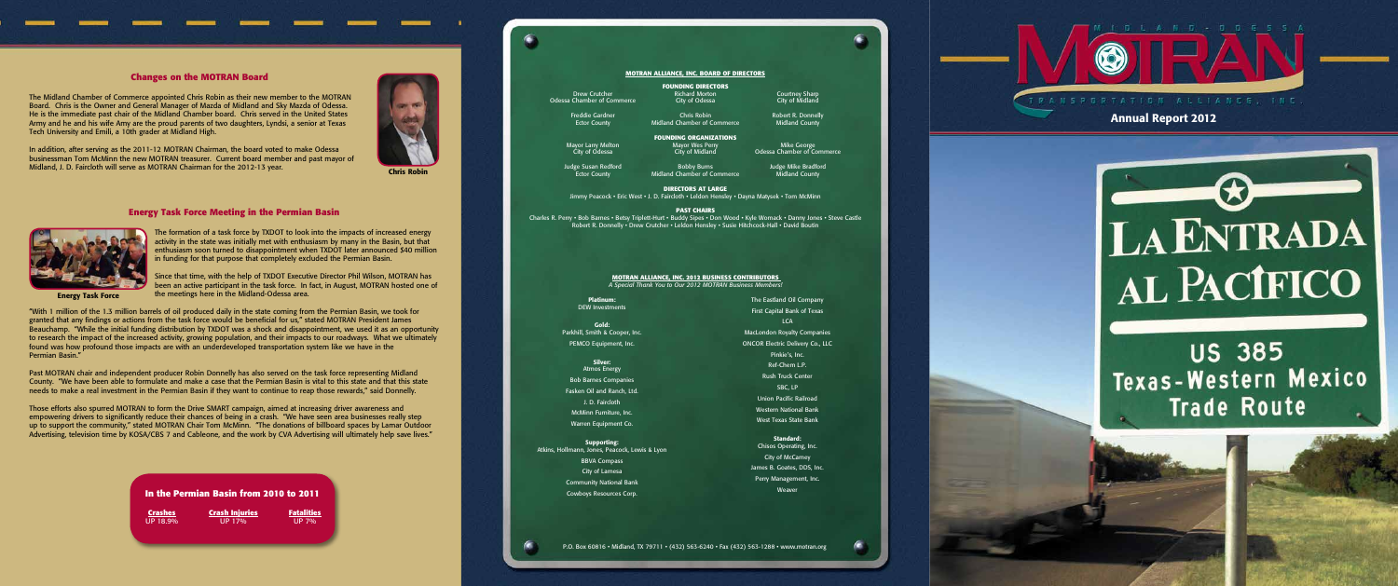### **Changes on the MOTRAN Board**

The Midland Chamber of Commerce appointed Chris Robin as their new member to the MOTRAN Board. Chris is the Owner and General Manager of Mazda of Midland and Sky Mazda of Odessa. He is the immediate past chair of the Midland Chamber board. Chris served in the United States Army and he and his wife Amy are the proud parents of two daughters, Lyndsi, a senior at Texas Tech University and Emili, a 10th grader at Midland High.

In addition, after serving as the 2011-12 MOTRAN Chairman, the board voted to make Odessa businessman Tom McMinn the new MOTRAN treasurer. Current board member and past mayor of Midland, J. D. Faircloth will serve as MOTRAN Chairman for the 2012-13 year.

## **Energy Task Force Meeting in the Permian Basin**



The formation of a task force by TXDOT to look into the impacts of increased energy activity in the state was initially met with enthusiasm by many in the Basin, but that enthusiasm soon turned to disappointment when TXDOT later announced \$40 million in funding for that purpose that completely excluded the Permian Basin.

Since that time, with the help of TXDOT Executive Director Phil Wilson, MOTRAN has been an active participant in the task force. In fact, in August, MOTRAN hosted one of the meetings here in the Midland-Odessa area.

"With 1 million of the 1.3 million barrels of oil produced daily in the state coming from the Permian Basin, we took for granted that any findings or actions from the task force would be beneficial for us," stated MOTRAN President James Beauchamp. "While the initial funding distribution by TXDOT was a shock and disappointment, we used it as an opportunity to research the impact of the increased activity, growing population, and their impacts to our roadways. What we ultimately found was how profound those impacts are with an underdeveloped transportation system like we have in the Permian Basin."

Past MOTRAN chair and independent producer Robin Donnelly has also served on the task force representing Midland County. "We have been able to formulate and make a case that the Permian Basin is vital to this state and that this state needs to make a real investment in the Permian Basin if they want to continue to reap those rewards," said Donnelly.

Those efforts also spurred MOTRAN to form the Drive SMART campaign, aimed at increasing driver awareness and empowering drivers to significantly reduce their chances of being in a crash. "We have seen area businesses really step up to support the community," stated MOTRAN Chair Tom McMinn. "The donations of billboard spaces by Lamar Outdoor Advertising, television time by KOSA/CBS 7 and Cableone, and the work by CVA Advertising will ultimately help save lives."



Chris Robin

Energy Task Force

#### **MOTRAN ALLIANCE, INC. BOARD OF DIRECTORS**

Drew Crutcher **Richard Morton** Courtney Sharp Chamber of Commerce **Courtney Courtney** Chamber of Commerce City of Odessa Odessa Chamber of Commerce

 $\bullet$ 

Ector County **Midland Chamber of Commerce** 

**FOUNDING ORGANIZATIONS** Mayor Larry Melton Mayor Wes Perry Mike George

**FOUNDING DIRECTORS**<br>Richard Morton

Midland Chamber of Commerce

City of Odessa City of Midland Odessa Chamber of Commerce

Judge Susan Redford Bobby Burns Judge Mike Bradford

 **DIRECTORS AT LARGE** Jimmy Peacock • Eric West • J. D. Faircloth • Leldon Hensley • Dayna Matysek • Tom McMinn

#### **PAST CHAIRS**

Charles R. Perry • Bob Barnes • Betsy Triplett-Hurt • Buddy Sipes • Don Wood • Kyle Womack • Danny Jones • Steve Castle Robert R. Donnelly • Drew Crutcher • Leldon Hensley • Susie Hitchcock-Hall • David Boutin

> Platinum: DEW Investments

Gold: Parkhill, Smith & Cooper, Inc. PEMCO Equipment, Inc.

Silver:

Atmos Energy Bob Barnes Companies Fasken Oil and Ranch, Ltd. J. D. Faircloth McMinn Furniture, Inc.

Warren Equipment Co.

#### Supporting: Atkins, Hollmann, Jones, Peacock, Lewis & Lyon

BBVA Compass City of Lamesa Community National Bank Cowboys Resources Corp.

The Eastland Oil Company First Capital Bank of Texas LCA MacLondon Royalty Companies ONCOR Electric Delivery Co., LLC Pinkie's, Inc. Ref-Chem L.P. Rush Truck Center SBC, LP Union Pacific Railroad Western National Bank West Texas State Bank

> Standard: Chisos Operating, Inc. City of McCamey James B. Goates, DDS, Inc. Perry Management, Inc. Weaver



Freddie Gardner **Chris Robin** Chris Robin Robert R. Donnelly<br>Ector County **Chris Robin Robert Commerce** Midland County

**MOTRAN Alliance, Inc. 2012 Business Contributors** *A Special Thank You to Our 2012 MOTRAN Business Members!* Annual Report 2012



**US 385** Texas-Western Mexico **Trade Route** 

| In the Permian Basin from 2010 to 2011 |                       |                   |  |  |  |  |
|----------------------------------------|-----------------------|-------------------|--|--|--|--|
| <b>Crashes</b>                         | <b>Crash Injuries</b> | <b>Fatalities</b> |  |  |  |  |
| UP 18.9%                               | UP 17%                | UP7%              |  |  |  |  |
|                                        |                       |                   |  |  |  |  |